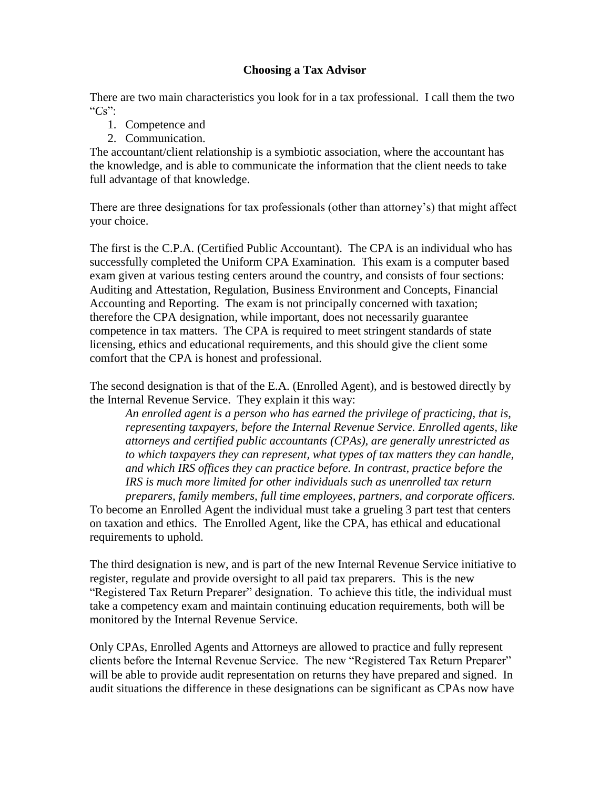## **Choosing a Tax Advisor**

There are two main characteristics you look for in a tax professional. I call them the two "*C*s":

- 1. Competence and
- 2. Communication.

The accountant/client relationship is a symbiotic association, where the accountant has the knowledge, and is able to communicate the information that the client needs to take full advantage of that knowledge.

There are three designations for tax professionals (other than attorney's) that might affect your choice.

The first is the C.P.A. (Certified Public Accountant). The CPA is an individual who has successfully completed the Uniform CPA Examination. This exam is a computer based exam given at various testing centers around the country, and consists of four sections: Auditing and Attestation, Regulation, Business Environment and Concepts, Financial Accounting and Reporting. The exam is not principally concerned with taxation; therefore the CPA designation, while important, does not necessarily guarantee competence in tax matters. The CPA is required to meet stringent standards of state licensing, ethics and educational requirements, and this should give the client some comfort that the CPA is honest and professional.

The second designation is that of the E.A. (Enrolled Agent), and is bestowed directly by the Internal Revenue Service. They explain it this way:

*An enrolled agent is a person who has earned the privilege of practicing, that is, representing taxpayers, before the Internal Revenue Service. Enrolled agents, like attorneys and certified public accountants (CPAs), are generally unrestricted as to which taxpayers they can represent, what types of tax matters they can handle, and which IRS offices they can practice before. In contrast, practice before the IRS is much more limited for other individuals such as unenrolled tax return preparers, family members, full time employees, partners, and corporate officers.*

To become an Enrolled Agent the individual must take a grueling 3 part test that centers on taxation and ethics. The Enrolled Agent, like the CPA, has ethical and educational requirements to uphold.

The third designation is new, and is part of the new Internal Revenue Service initiative to register, regulate and provide oversight to all paid tax preparers. This is the new "Registered Tax Return Preparer" designation. To achieve this title, the individual must take a competency exam and maintain continuing education requirements, both will be monitored by the Internal Revenue Service.

Only CPAs, Enrolled Agents and Attorneys are allowed to practice and fully represent clients before the Internal Revenue Service. The new "Registered Tax Return Preparer" will be able to provide audit representation on returns they have prepared and signed. In audit situations the difference in these designations can be significant as CPAs now have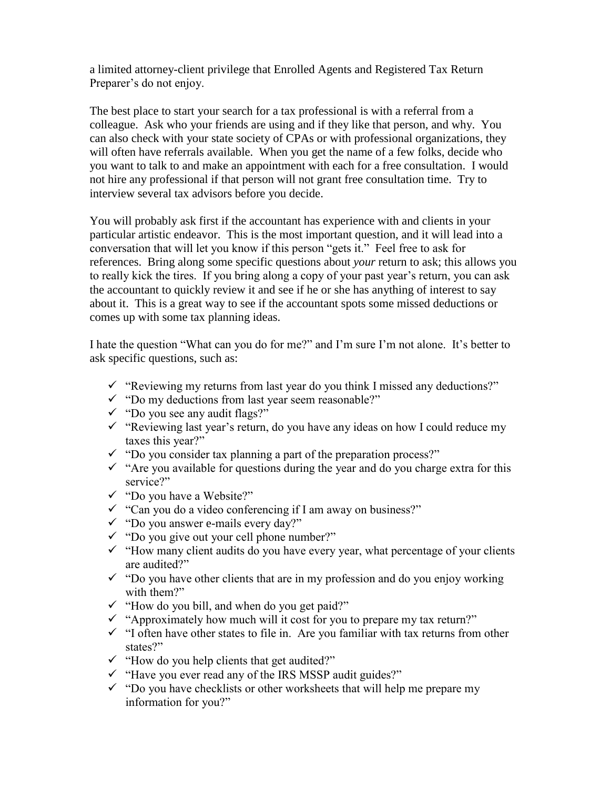a limited attorney-client privilege that Enrolled Agents and Registered Tax Return Preparer's do not enjoy.

The best place to start your search for a tax professional is with a referral from a colleague. Ask who your friends are using and if they like that person, and why. You can also check with your state society of CPAs or with professional organizations, they will often have referrals available. When you get the name of a few folks, decide who you want to talk to and make an appointment with each for a free consultation. I would not hire any professional if that person will not grant free consultation time. Try to interview several tax advisors before you decide.

You will probably ask first if the accountant has experience with and clients in your particular artistic endeavor. This is the most important question, and it will lead into a conversation that will let you know if this person "gets it." Feel free to ask for references. Bring along some specific questions about *your* return to ask; this allows you to really kick the tires. If you bring along a copy of your past year's return, you can ask the accountant to quickly review it and see if he or she has anything of interest to say about it. This is a great way to see if the accountant spots some missed deductions or comes up with some tax planning ideas.

I hate the question "What can you do for me?" and I'm sure I'm not alone. It's better to ask specific questions, such as:

- $\checkmark$  "Reviewing my returns from last year do you think I missed any deductions?"
- $\checkmark$  "Do my deductions from last year seem reasonable?"
- $\checkmark$  "Do you see any audit flags?"
- $\checkmark$  "Reviewing last year's return, do you have any ideas on how I could reduce my taxes this year?"
- $\checkmark$  "Do you consider tax planning a part of the preparation process?"
- $\checkmark$  "Are you available for questions during the year and do you charge extra for this service?"
- $\checkmark$  "Do you have a Website?"
- $\checkmark$  "Can you do a video conferencing if I am away on business?"
- $\checkmark$  "Do you answer e-mails every day?"
- $\checkmark$  "Do you give out your cell phone number?"
- $\checkmark$  "How many client audits do you have every year, what percentage of your clients are audited?"
- $\checkmark$  "Do you have other clients that are in my profession and do you enjoy working with them?"
- $\checkmark$  "How do you bill, and when do you get paid?"
- $\checkmark$  "Approximately how much will it cost for you to prepare my tax return?"
- $\checkmark$  "I often have other states to file in. Are you familiar with tax returns from other states?"
- $\checkmark$  "How do you help clients that get audited?"
- $\checkmark$  "Have you ever read any of the IRS MSSP audit guides?"
- $\checkmark$  "Do you have checklists or other worksheets that will help me prepare my information for you?"